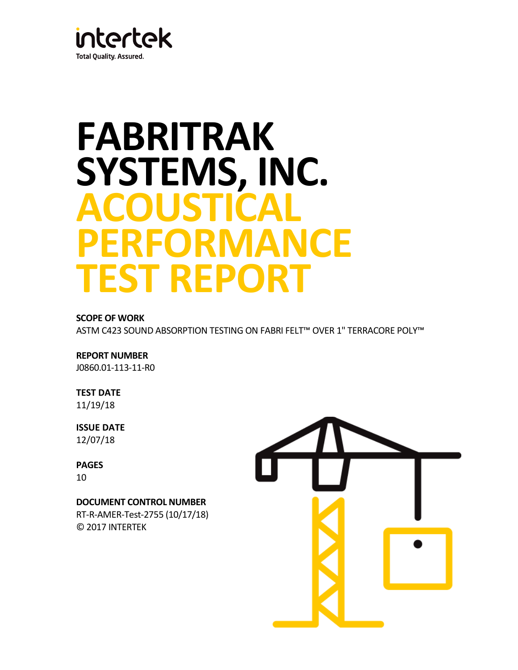

# **FABRITRAK SYSTEMS, INC. ACOUSTICAL PERFORMANCE TEST REPORT**

### **SCOPE OF WORK**

ASTM C423 SOUND ABSORPTION TESTING ON FABRI FELT™ OVER 1" TERRACORE POLY™

#### **REPORT NUMBER**

J0860.01-113-11-R0

# **TEST DATE**

11/19/18

# **ISSUE DATE**

12/07/18

#### **PAGES** 10

**DOCUMENT CONTROL NUMBER** RT-R-AMER-Test-2755 (10/17/18) © 2017 INTERTEK

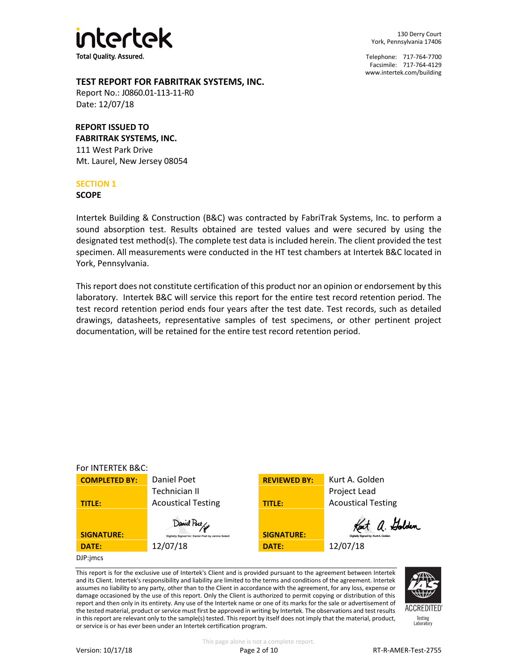

130 Derry Court York, Pennsylvania 17406

Telephone: 717-764-7700 Facsimile: 717-764-4129 [www.intertek.com/building](http://www.intertek.com/building)

#### **TEST REPORT FOR FABRITRAK SYSTEMS, INC.**

Report No.: J0860.01-113-11-R0 Date: 12/07/18

## **REPORT ISSUED TO**

**FABRITRAK SYSTEMS, INC.** 111 West Park Drive Mt. Laurel, New Jersey 08054

#### **SECTION 1**

**SCOPE**

Intertek Building & Construction (B&C) was contracted by FabriTrak Systems, Inc. to perform a sound absorption test. Results obtained are tested values and were secured by using the designated test method(s). The complete test data is included herein. The client provided the test specimen. All measurements were conducted in the HT test chambers at Intertek B&C located in York, Pennsylvania.

This report does not constitute certification of this product nor an opinion or endorsement by this laboratory. Intertek B&C will service this report for the entire test record retention period. The test record retention period ends four years after the test date. Test records, such as detailed drawings, datasheets, representative samples of test specimens, or other pertinent project documentation, will be retained for the entire test record retention period.



This report is for the exclusive use of Intertek's Client and is provided pursuant to the agreement between Intertek and its Client. Intertek's responsibility and liability are limited to the terms and conditions of the agreement. Intertek assumes no liability to any party, other than to the Client in accordance with the agreement, for any loss, expense or damage occasioned by the use of this report. Only the Client is authorized to permit copying or distribution of this report and then only in its entirety. Any use of the Intertek name or one of its marks for the sale or advertisement of the tested material, product or service must first be approved in writing by Intertek. The observations and test results in this report are relevant only to the sample(s) tested. This report by itself does not imply that the material, product, or service is or has ever been under an Intertek certification program.



**ACCREDITED** Testing<br>Laboratory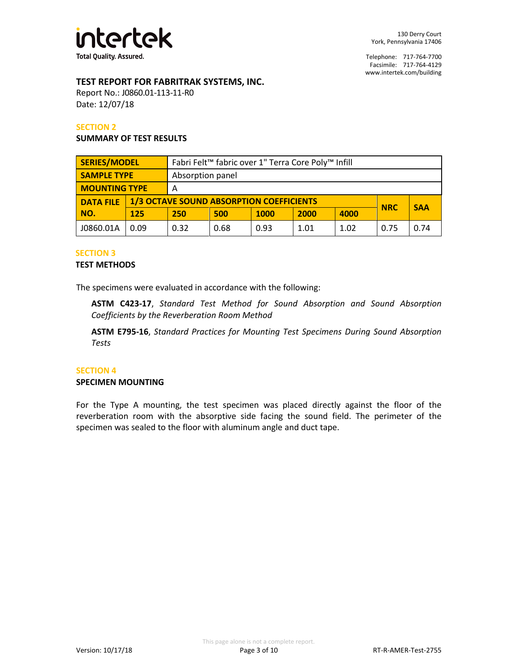

#### **TEST REPORT FOR FABRITRAK SYSTEMS, INC.**

Report No.: J0860.01-113-11-R0 Date: 12/07/18

#### **SECTION 2**

#### **SUMMARY OF TEST RESULTS**

| <b>SERIES/MODEL</b>  |      | Fabri Felt <sup>™</sup> fabric over 1" Terra Core Poly™ Infill |                                                               |             |      |      |            |      |
|----------------------|------|----------------------------------------------------------------|---------------------------------------------------------------|-------------|------|------|------------|------|
| <b>SAMPLE TYPE</b>   |      | Absorption panel                                               |                                                               |             |      |      |            |      |
| <b>MOUNTING TYPE</b> |      | A                                                              |                                                               |             |      |      |            |      |
| <b>DATA FILE</b>     |      |                                                                | <b>1/3 OCTAVE SOUND ABSORPTION COEFFICIENTS</b><br><b>NRC</b> |             |      |      | <b>SAA</b> |      |
| NO.                  | 125  | 250                                                            | 500                                                           | <b>1000</b> | 2000 | 4000 |            |      |
| J0860.01A            | 0.09 | 0.32                                                           | 0.68                                                          | 0.93        | 1.01 | 1.02 | 0.75       | 0.74 |

#### **SECTION 3**

#### **TEST METHODS**

The specimens were evaluated in accordance with the following:

**ASTM C423-17**, *Standard Test Method for Sound Absorption and Sound Absorption Coefficients by the Reverberation Room Method*

**ASTM E795-16**, *Standard Practices for Mounting Test Specimens During Sound Absorption Tests*

#### **SECTION 4**

#### **SPECIMEN MOUNTING**

For the Type A mounting, the test specimen was placed directly against the floor of the reverberation room with the absorptive side facing the sound field. The perimeter of the specimen was sealed to the floor with aluminum angle and duct tape.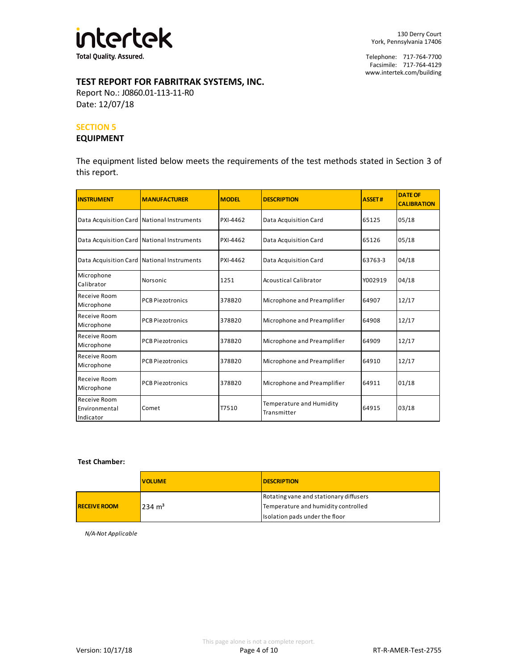

# **TEST REPORT FOR FABRITRAK SYSTEMS, INC.**

Report No.: J0860.01-113-11-R0 Date: 12/07/18

#### **SECTION 5**

#### **EQUIPMENT**

The equipment listed below meets the requirements of the test methods stated in Section 3 of this report.

| <b>INSTRUMENT</b>                          | <b>MANUFACTURER</b>     | <b>MODEL</b> | <b>DESCRIPTION</b>                      | <b>ASSET#</b> | <b>DATE OF</b><br><b>CALIBRATION</b> |
|--------------------------------------------|-------------------------|--------------|-----------------------------------------|---------------|--------------------------------------|
| Data Acquisition Card National Instruments |                         | PXI-4462     | Data Acquisition Card                   | 65125         | 05/18                                |
| Data Acquisition Card National Instruments |                         | PXI-4462     | Data Acquisition Card                   | 65126         | 05/18                                |
| Data Acquisition Card National Instruments |                         | PXI-4462     | Data Acquisition Card                   | 63763-3       | 04/18                                |
| Microphone<br>Calibrator                   | Norsonic                | 1251         | <b>Acoustical Calibrator</b>            | Y002919       | 04/18                                |
| Receive Room<br>Microphone                 | <b>PCB Piezotronics</b> | 378B20       | Microphone and Preamplifier             | 64907         | 12/17                                |
| Receive Room<br>Microphone                 | <b>PCB Piezotronics</b> | 378B20       | Microphone and Preamplifier             | 64908         | 12/17                                |
| Receive Room<br>Microphone                 | <b>PCB Piezotronics</b> | 378B20       | Microphone and Preamplifier             | 64909         | 12/17                                |
| Receive Room<br>Microphone                 | <b>PCB Piezotronics</b> | 378B20       | Microphone and Preamplifier             | 64910         | 12/17                                |
| Receive Room<br>Microphone                 | <b>PCB Piezotronics</b> | 378B20       | Microphone and Preamplifier             | 64911         | 01/18                                |
| Receive Room<br>Environmental<br>Indicator | Comet                   | T7510        | Temperature and Humidity<br>Transmitter | 64915         | 03/18                                |

#### **Test Chamber:**

|                     | <b>VOLUME</b>     | <b>DESCRIPTION</b>                                                            |
|---------------------|-------------------|-------------------------------------------------------------------------------|
| <b>RECEIVE ROOM</b> | $234 \text{ m}^3$ | Rotating vane and stationary diffusers<br>Temperature and humidity controlled |
|                     |                   | Isolation pads under the floor                                                |

*N/A-Not Applicable*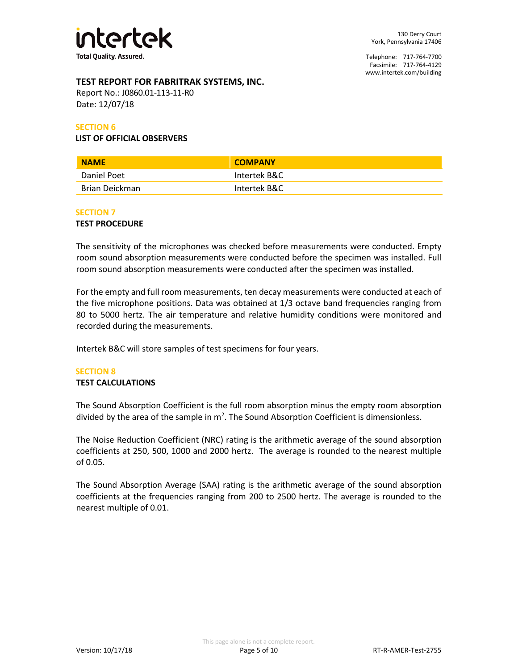

## **TEST REPORT FOR FABRITRAK SYSTEMS, INC.**

Report No.: J0860.01-113-11-R0 Date: 12/07/18

#### **SECTION 6**

#### **LIST OF OFFICIAL OBSERVERS**

| <b>NAME</b>    | <b>COMPANY</b> |
|----------------|----------------|
| Daniel Poet    | Intertek B&C   |
| Brian Deickman | Intertek B&C   |

#### **SECTION 7**

#### **TEST PROCEDURE**

The sensitivity of the microphones was checked before measurements were conducted. Empty room sound absorption measurements were conducted before the specimen was installed. Full room sound absorption measurements were conducted after the specimen was installed.

For the empty and full room measurements, ten decay measurements were conducted at each of the five microphone positions. Data was obtained at 1/3 octave band frequencies ranging from 80 to 5000 hertz. The air temperature and relative humidity conditions were monitored and recorded during the measurements.

Intertek B&C will store samples of test specimens for four years.

#### **SECTION 8**

#### **TEST CALCULATIONS**

The Sound Absorption Coefficient is the full room absorption minus the empty room absorption divided by the area of the sample in  $m^2$ . The Sound Absorption Coefficient is dimensionless.

The Noise Reduction Coefficient (NRC) rating is the arithmetic average of the sound absorption coefficients at 250, 500, 1000 and 2000 hertz. The average is rounded to the nearest multiple of 0.05.

The Sound Absorption Average (SAA) rating is the arithmetic average of the sound absorption coefficients at the frequencies ranging from 200 to 2500 hertz. The average is rounded to the nearest multiple of 0.01.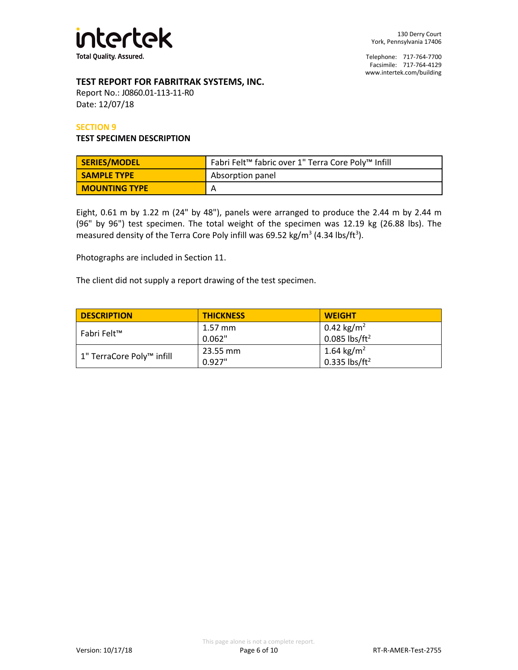

#### **TEST REPORT FOR FABRITRAK SYSTEMS, INC.**

Report No.: J0860.01-113-11-R0 Date: 12/07/18

#### **SECTION 9**

#### **TEST SPECIMEN DESCRIPTION**

| SERIES/MODEL         | Fabri Felt™ fabric over 1" Terra Core Poly™ Infill |  |  |
|----------------------|----------------------------------------------------|--|--|
| <b>SAMPLE TYPE</b>   | Absorption panel                                   |  |  |
| <b>MOUNTING TYPE</b> | A                                                  |  |  |

Eight, 0.61 m by 1.22 m (24" by 48"), panels were arranged to produce the 2.44 m by 2.44 m (96" by 96") test specimen. The total weight of the specimen was 12.19 kg (26.88 lbs). The measured density of the Terra Core Poly infill was 69.52 kg/m<sup>3</sup> (4.34 lbs/ft<sup>3</sup>).

Photographs are included in Section 11.

The client did not supply a report drawing of the test specimen.

| <b>DESCRIPTION</b>        | <b>THICKNESS</b> | <b>WEIGHT</b>                                       |
|---------------------------|------------------|-----------------------------------------------------|
| Fabri Felt™               | $1.57$ mm        | 0.42 kg/m <sup>2</sup>                              |
|                           | 0.062"           | $0.085$ lbs/ft <sup>2</sup>                         |
|                           | 23.55 mm         | 1.64 kg/m <sup>2</sup><br>0.335 lbs/ft <sup>2</sup> |
| 1" TerraCore Poly™ infill | 0.927"           |                                                     |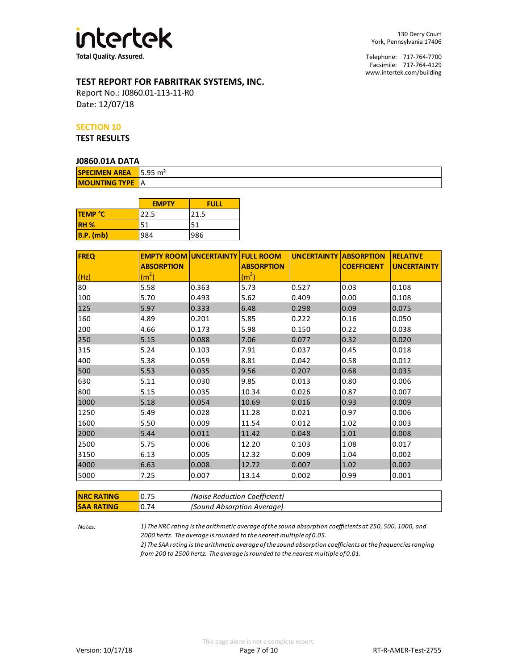

# **TEST REPORT FOR FABRITRAK SYSTEMS, INC.**

Report No.: J0860.01-113-11-R0 Date: 12/07/18

#### **SECTION 10**

**TEST RESULTS**

#### **J0860.01A DATA**

| <b>SPECIMEN AREA</b>   | $15.95 \text{ m}^2$ |
|------------------------|---------------------|
| <b>MOUNTING TYPE A</b> |                     |

|                | <b>EMPTY</b> | <b>FULL</b> |
|----------------|--------------|-------------|
| <b>TEMP °C</b> | 22.5         | 21.5        |
| <b>RH %</b>    | 51           | 51          |
| $B.P.$ (mb)    | 984          | 986         |

| <b>FREQ</b> |                   | <b>EMPTY ROOM UNCERTAINTY FULL ROOM</b> |                   | <b>UNCERTAINTY ABSORPTION</b> |                    | <b>RELATIVE</b>    |
|-------------|-------------------|-----------------------------------------|-------------------|-------------------------------|--------------------|--------------------|
|             | <b>ABSORPTION</b> |                                         | <b>ABSORPTION</b> |                               | <b>COEFFICIENT</b> | <b>UNCERTAINTY</b> |
| (Hz)        | (m <sup>2</sup> ) |                                         | (m <sup>2</sup> ) |                               |                    |                    |
| 80          | 5.58              | 0.363                                   | 5.73              | 0.527                         | 0.03               | 0.108              |
| 100         | 5.70              | 0.493                                   | 5.62              | 0.409                         | 0.00               | 0.108              |
| 125         | 5.97              | 0.333                                   | 6.48              | 0.298                         | 0.09               | 0.075              |
| 160         | 4.89              | 0.201                                   | 5.85              | 0.222                         | 0.16               | 0.050              |
| 200         | 4.66              | 0.173                                   | 5.98              | 0.150                         | 0.22               | 0.038              |
| 250         | 5.15              | 0.088                                   | 7.06              | 0.077                         | 0.32               | 0.020              |
| 315         | 5.24              | 0.103                                   | 7.91              | 0.037                         | 0.45               | 0.018              |
| 400         | 5.38              | 0.059                                   | 8.81              | 0.042                         | 0.58               | 0.012              |
| 500         | 5.53              | 0.035                                   | 9.56              | 0.207                         | 0.68               | 0.035              |
| 630         | 5.11              | 0.030                                   | 9.85              | 0.013                         | 0.80               | 0.006              |
| 800         | 5.15              | 0.035                                   | 10.34             | 0.026                         | 0.87               | 0.007              |
| 1000        | 5.18              | 0.054                                   | 10.69             | 0.016                         | 0.93               | 0.009              |
| 1250        | 5.49              | 0.028                                   | 11.28             | 0.021                         | 0.97               | 0.006              |
| 1600        | 5.50              | 0.009                                   | 11.54             | 0.012                         | 1.02               | 0.003              |
| 2000        | 5.44              | 0.011                                   | 11.42             | 0.048                         | 1.01               | 0.008              |
| 2500        | 5.75              | 0.006                                   | 12.20             | 0.103                         | 1.08               | 0.017              |
| 3150        | 6.13              | 0.005                                   | 12.32             | 0.009                         | 1.04               | 0.002              |
| 4000        | 6.63              | 0.008                                   | 12.72             | 0.007                         | 1.02               | 0.002              |
| 5000        | 7.25              | 0.007                                   | 13.14             | 0.002                         | 0.99               | 0.001              |

| <b>INRC RATING</b> |      | (Noise Reduction Coefficient) |
|--------------------|------|-------------------------------|
| ISAA RATING        | 0.74 | (Sound Absorption Average)    |

*Notes: 1) The NRC rating is the arithmetic average of the sound absorption coefficients at 250, 500, 1000, and 2000 hertz. The average is rounded to the nearest multiple of 0.05.*

*2) The SAA rating is the arithmetic average of the sound absorption coefficients at the frequencies ranging from 200 to 2500 hertz. The average is rounded to the nearest multiple of 0.01.*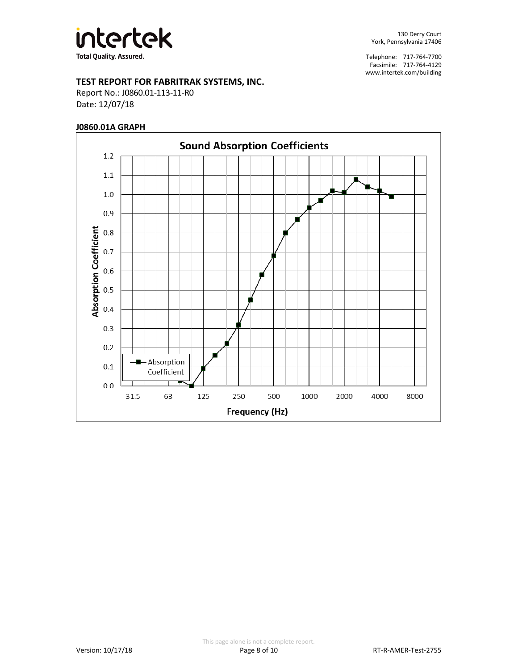

#### **TEST REPORT FOR FABRITRAK SYSTEMS, INC.**

Report No.: J0860.01-113-11-R0 Date: 12/07/18

#### **J0860.01A GRAPH**

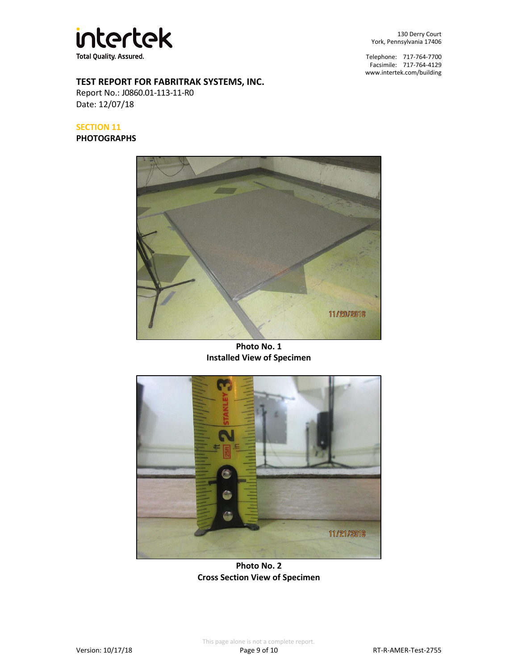

130 Derry Court York, Pennsylvania 17406

Telephone: 717-764-7700 Facsimile: 717-764-4129 [www.intertek.com/building](http://www.intertek.com/building)

# **TEST REPORT FOR FABRITRAK SYSTEMS, INC.**

Report No.: J0860.01-113-11-R0 Date: 12/07/18

# **SECTION 11**

**PHOTOGRAPHS**



**Photo No. 1 Installed View of Specimen**



**Photo No. 2 Cross Section View of Specimen**